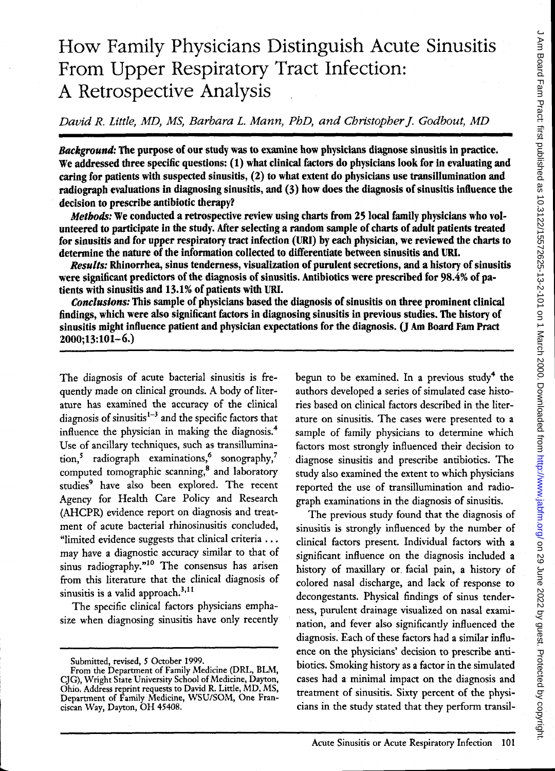# How Family Physicians Distinguish Acute Sinusitis From Upper Respiratory Tract Infection: A Retrospective Analysis

*David R. Little, MD, MS, Barbara* 1. *Mann, PhD, and Christopher* j. *Godbout, MD* 

*Background:* The purpose of our study was to examine how physicians diagnose sinusitis in practice. We addressed three specific questions: (1) what clinical factors do physicians look for in evaluating and caring for patients with suspected sinusitis, (2) to what extent do physicians use transillumination and radiograph evaluations in diagnosing sinusitis, and (3) how does the diagnosis of sinusitis influence the decision to prescribe antibiotic therapy?

*Methods:* We conducted a retrospective review using charts from 25 local family physicians who volunteered to participate in the study. After selecting a random sample of charts of adult patients treated for sinusitis and for upper respiratory tract infection (URI) by each physician, we reviewed the charts to detennine the nature of the infonnation collected to differentiate between sinusitis and URI.

*Results:* Rhinorrhea, sinus tenderness, visualization of purulent secretions, and a history of sinusitis were significant predictors of the diagnosis of sinusitis. Antibiotics were prescribed for 98.4% of patients with sinusitis and 13.1% of patients with URI.

*Conclusions:* This sample of physicians based the diagnosis of sinusitis on three prominent clinical findings, which were also significant factors in diagnosing sinusitis in previous studies. The history of sinusitis might influence patient and physician expectations for the diagnosis. (J Am Board Fam Pract 2000;13:101-6.)

The diagnosis of acute bacterial sinusitis is frequently made on clinical grounds. A body of literature has examined the accuracy of the clinical diagnosis of sinusitis $1-3$  and the specific factors that influence the physician in making the diagnosis.<sup>4</sup> Use of ancillary techniques, such as transillumination,<sup>5</sup> radiograph examinations,<sup>6</sup> sonography,<sup>7</sup> computed tomographic scanning,8 and laboratory studies<sup>9</sup> have also been explored. The recent Agency for Health Care Policy and Research (AHCPR) evidence report on diagnosis and treatment of acute bacterial rhinosinusitis concluded, "limited evidence suggests that clinical criteria ... may have a diagnostic accuracy similar to that of sinus radiography."<sup>10</sup> The consensus has arisen from this literature that the clinical diagnosis of sinusitis is a valid approach.<sup>3,11</sup>

The specific clinical factors physicians emphasize when diagnosing sinusitis have only recently begun to be examined. In a previous study<sup>4</sup> the authors developed a series of simulated case histories based on clinical factors described in the literature on sinusitis. The cases were presented to a sample of family physicians to determine which factors most strongly influenced their decision to diagnose sinusitis and prescribe antibiotics. The study also examined the extent to which physicians reported the use of transillumination and radiograph examinations in the diagnosis of sinusitis.

The previous study found that the diagnosis of sinusitis is strongly influenced by the number of clinical factors present. Individual factors with a significant influence on the diagnosis included a history of maxillary or. facial pain, a history of colored nasal discharge, and lack of response to decongestants. Physical findings of sinus tenderness, purulent drainage visualized on nasal examination, and fever also significantly influenced the diagnosis. Each of these factors had a similar influence on the physicians' decision to prescribe antibiotics. Smoking history as a factor in the simulated cases had a minimal impact on the diagnosis and treatment of sinusitis. Sixty percent of the physicians in the study stated that they perform transil-

Submitted, revised, 5 October 1999.

From the Department of Family Medicine (DRL, ELM, CJG), Wright State University School of Medicine, Dayton, Ohio. Address reprint requests to David R. Little, MD, MS, Department of Family Medicine, WSU/SOM, One Franciscan Way, Dayton, OH 45408.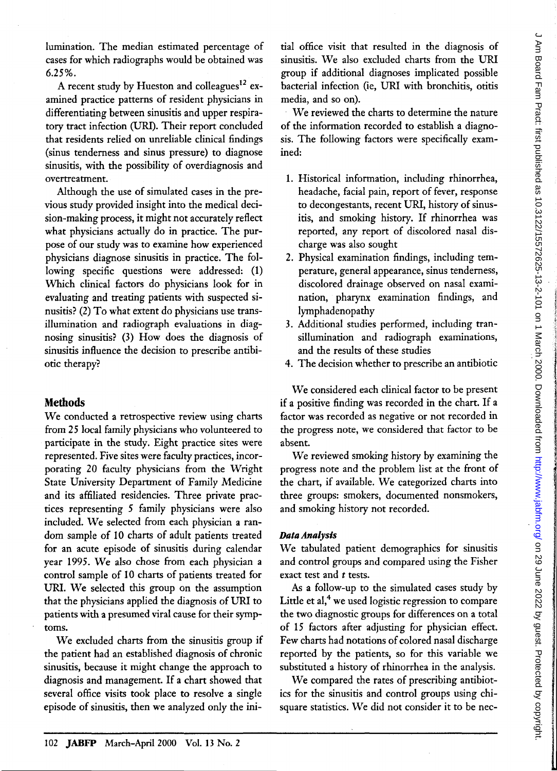lumination. The median estimated percentage of cases for which radiographs would be obtained was 6.25%.

A recent study by Hueston and colleagues<sup>12</sup> examined practice patterns of resident physicians in differentiating between sinusitis and upper respiratory tract infection (URI). Their report concluded that residents relied on unreliable clinical findings (sinus tenderness and sinus pressure) to diagnose sinusitis, with the possibility of overdiagnosis and overtreatment.

Although the use of simulated cases in the previous study provided insight into the medical decision-making process, it might not accurately reflect what physicians actually do in practice. The purpose of our study was to examine how experienced physicians diagnose sinusitis in practice. The following specific questions were addressed: (1) Which clinical factors do physicians look for in evaluating and treating patients with suspected sinusitis? (2) To what extent do physicians use transillumination and radiograph evaluations in diagnosing sinusitis? (3) How does the diagnosis of sinusitis influence the decision to prescribe antibiotic therapy?

#### **Methods**

We conducted a retrospective review using charts from 25 local family physicians who volunteered to participate in the study. Eight practice sites were represented. Five sites were faculty practices, incorporating 20 faculty physicians from the Wright State University Department of Family Medicine and its affiliated residencies. Three private practices representing 5 family physicians were also included. We selected from each physician a random sample of 10 charts of adult patients treated for an acute episode of sinusitis during calendar year 1995. We also chose from each physician a control sample of 10 charts of patients treated for URI. We selected this group on the assumption that the physicians applied the diagnosis of URI to patients with a presumed viral cause for their symptoms.

We excluded charts from the sinusitis group if the patient had an established diagnosis of chronic sinusitis, because it might change the approach to diagnosis and management. If a chart showed that several office visits took place to resolve a single episode of sinusitis, then we analyzed only the initial office visit that resulted in the diagnosis of sinusitis. We also excluded charts from the URI group if additional diagnoses implicated possible bacterial infection (ie, URI with bronchitis, otitis media, and so on).

We reviewed the charts to determine the nature of the information recorded to establish a diagnosis. The following factors were specifically examined:

- 1. Historical information, including rhinorrhea, headache, facial pain, report of fever, response to decongestants, recent URI, history of sinusitis, and smoking history. If rhinorrhea was reported, any report of discolored nasal discharge was also sought
- 2. Physical examination findings, including temperature, general appearance, sinus tenderness, discolored drainage observed on nasal examination, pharynx examination findings, and lymphadenopathy
- 3. Additional studies performed, including transillumination and radiograph examinations, and the results of these studies
- 4. The decision whether to prescribe an antibiotic

We considered each clinical factor to be present if a positive finding was recorded in the chart. If a factor was recorded as negative or not recorded in the progress note, we considered that factor to be absent.

We reviewed smoking history by examining the progress note and the problem list at the front of the chart, if available. We categorized charts into three groups: smokers, documented nonsmokers, and smoking history not recorded.

#### **Data** *Analysis*

We tabulated patient demographics for sinusitis and control groups and compared using the Fisher exact test and *t* tests.

As a follow-up to the simulated cases study by Little et  $al$ ,<sup>4</sup> we used logistic regression to compare the two diagnostic groups for differences on a total of 15 factors after adjusting for physician effect. Few charts had notations of colored nasal discharge reported by the patients, so for this variable we substituted a history of rhinorrhea in the analysis.

We compared the rates of prescribing antibiotics for the sinusitis and control groups using chisquare statistics. We did not consider it to be nec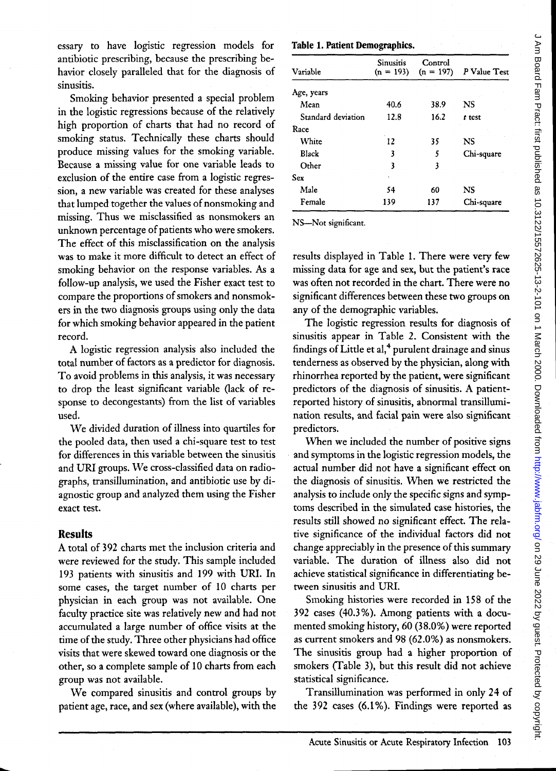essary to have logistic regression models for antibiotic prescribing, because the prescribing behavior closely paralleled that for the diagnosis of sinusitis.

Smoking behavior presented a special problem in the logistic regressions because of the relatively high proportion of charts that had no record of smoking status. Technically these charts should produce missing values for the smoking variable. Because a missing value for one variable leads to exclusion of the entire case from a logistic regression, a new variable was created for these analyses that lumped together the values of nonsmoking and missing. Thus we misclassified as nonsmokers an unknown percentage of patients who were smokers. The effect of this misclassification on the analysis was to make it more difficult to detect an effect of smoking behavior on the response variables. *As* a follow-up analysis, we used the Fisher exact test to compare the proportions of smokers and nonsmokers in the two diagnosis groups using only the data for which smoking behavior appeared in the patient record.

A logistic regression analysis also included the total number of factors as a predictor for diagnosis. To avoid problems in this analysis, it was necessary to drop the least significant variable (lack of response to decongestants) from the list of variables used.

We divided duration of illness into quartiles for the pooled data, then used a chi-square test to test for differences in this variable between the sinusitis and URI groups. We cross-classified data on radiographs, transillumination, and antibiotic use by diagnostic group and analyzed them using the Fisher exact test.

#### **Results**

A total of 392 charts met the inclusion criteria and were reviewed for the study. This sample included 193 patients with sinusitis and 199 with URI. In some cases, the target number of 10 charts per physician in each group was not available. One faculty practice site was relatively new and had not accumulated a large number of office visits at the time of the study. Three other physicians had office visits that were skewed toward one diagnosis or the other, so a complete sample of 10 charts from each group was not available.

We compared sinusitis and control groups by patient age, race, and sex (where available), with the

#### Table 1. Patient Demographics.

| Variable           | Sinusitis<br>$(n = 193)$ | Control<br>$(n = 197)$ | P Value Test |
|--------------------|--------------------------|------------------------|--------------|
| Age, years         |                          |                        |              |
| Mean               | 40.6                     | 38.9                   | NS           |
| Standard deviation | 12.8                     | 16.2                   | t test       |
| Race               |                          |                        |              |
| White              | 12                       | 35                     | NS           |
| Black              | 3                        | 5                      | Chi-square   |
| Other              | 3                        | 3                      |              |
| <b>Sex</b>         |                          |                        |              |
| Male               | 54                       | 60                     | NS           |
| Female             | 139                      | 137                    | Chi-square   |

NS-Not significant.

results displayed in Table 1. There were very few missing data for age and sex, but the patient's race was often not recorded in the chart. There were no significant differences between these two groups on any of the demographic variables.

The logistic regression results for diagnosis of sinusitis appear in Table 2. Consistent with the findings of Little et al, $4$  purulent drainage and sinus tenderness as observed by the physician, along with rhinorrhea reported by the patient, were significant predictors of the diagnosis of sinusitis. A patientreported history of sinusitis, abnormal transillumination results, and facial pain were also significant predictors.

When we included the number of positive signs . and symptoms in the logistic regression models, the actual number did not have a significant effect on the diagnosis of sinusitis. When we restricted the analysis to include only the specific signs and symptoms described in the simulated case histories, the results still showed no significant effect. The relative significance of the individual factors did not change appreciably in the presence of this summary variable. The duration of illness also did not achieve statistical significance in differentiating between sinusitis and URI.

Smoking histories were recorded in 158 of the 392 cases (40.3%). Among patients with a documented smoking history, 60 (38.0%) were reported as current smokers and 98 (62.0%) as nonsmokers. The sinusitis group had a higher proportion of smokers (Table 3), but this result did not achieve statistical significance.

Transillumination was performed in only 24 of the 392 cases (6.1 %). Findings were reported as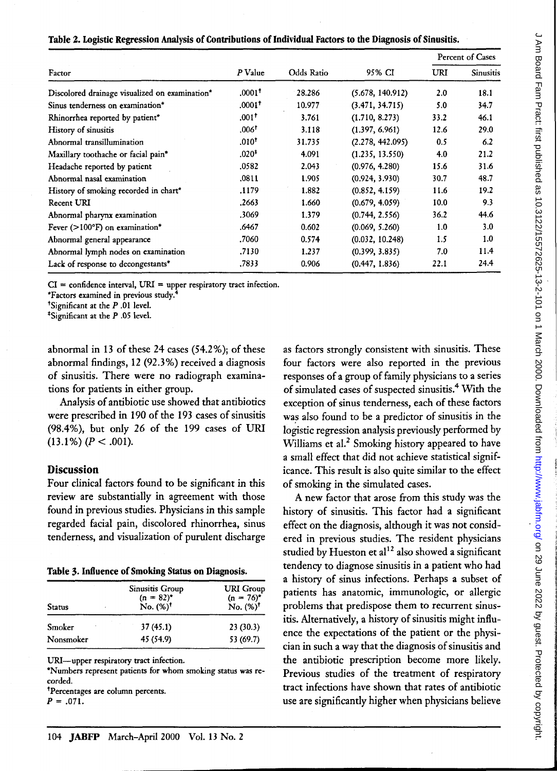|                                                |                      |            |                  | Percent of Cases |                  |
|------------------------------------------------|----------------------|------------|------------------|------------------|------------------|
| Factor                                         | P Value              | Odds Ratio | 95% CI           | URI              | <b>Sinusitis</b> |
| Discolored drainage visualized on examination* | $.0001$ <sup>†</sup> | 28.286     | (5.678, 140.912) | 2.0              | 18.1             |
| Sinus tenderness on examination*               | $.0001$ <sup>+</sup> | 10.977     | (3.471, 34.715)  | 5.0              | 34.7             |
| Rhinorrhea reported by patient*                | .001 <sup>†</sup>    | 3.761      | (1.710, 8.273)   | 33.2             | 46.1             |
| History of sinusitis                           | .006 <sup>†</sup>    | 3.118      | (1.397, 6.961)   | 12.6             | 29.0             |
| Abnormal transillumination                     | $.010^{+}$           | 31.735     | (2.278, 442.095) | 0.5              | 6.2              |
| Maxillary toothache or facial pain*            | $.020*$              | 4.091      | (1.235, 13.550)  | 4.0              | 21.2             |
| Headache reported by patient                   | .0582                | 2.043      | (0.976, 4.280)   | 15.6             | 31.6             |
| Abnormal nasal examination                     | .0811                | 1.905      | (0.924, 3.930)   | 30.7             | 48.7             |
| History of smoking recorded in chart*          | .1179                | 1.882      | (0.852, 4.159)   | 11.6             | 19.2             |
| Recent URI                                     | .2663                | 1.660      | (0.679, 4.059)   | 10.0             | 9.3              |
| Abnormal pharynx examination                   | .3069                | 1.379      | (0.744, 2.556)   | 36.2             | 44.6             |
| Fever $(>100^{\circ}F)$ on examination*        | .6467                | 0.602      | (0.069, 5.260)   | 1.0              | 3.0              |
| Abnormal general appearance                    | .7060                | 0.574      | (0.032, 10.248)  | 1.5              | 1.0              |
| Abnormal lymph nodes on examination            | .7130                | 1.237      | (0.399, 3.835)   | 7.0              | 11.4             |
| Lack of response to decongestants*             | .7833                | 0.906      | (0.447, 1.836)   | 22.1             | 24.4             |

|  |  | Table 2. Logistic Regression Analysis of Contributions of Individual Factors to the Diagnosis of Sinusitis. |
|--|--|-------------------------------------------------------------------------------------------------------------|
|  |  |                                                                                                             |

 $CI = confidence$  interval,  $URI = upper$  respiratory tract infection.

\*Factors examined in previous study.4

tSignificant at the P .01 level.

\*Significant at the P .05 level.

abnormal in 13 of these 24 cases (54.2%); of these abnormal findings, 12 (92.3%) received a diagnosis of sinusitis. There were no radiograph examinations for patients in either group.

Analysis of antibiotic use showed that antibiotics were prescribed in 190 of the 193 cases of sinusitis (98.4%), but only 26 of the 199 cases of URI  $(13.1\%) (P < .001).$ 

### **Discussion**

Four clinical factors found to be significant in this review are substantially in agreement with those found in previous studies. Physicians in this sample regarded facial pain, discolored rhinorrhea, sinus tenderness, and visualization of purulent discharge

| Table 3. Influence of Smoking Status on Diagnosis. |  |  |  |  |  |
|----------------------------------------------------|--|--|--|--|--|
|----------------------------------------------------|--|--|--|--|--|

| Status    | <b>Sinusitis Group</b><br>$(n = 82)^{*}$<br>No. $(\%)^{\dagger}$ | <b>URI</b> Group<br>$(n = 76)^*$<br>No. $(*)^{\dagger}$ |
|-----------|------------------------------------------------------------------|---------------------------------------------------------|
| Smoker    | 37(45.1)                                                         | 23(30.3)                                                |
| Nonsmoker | 45 (54.9)                                                        | 53 (69.7)                                               |

URI-upper respiratory tract infection.

\*Numbers represent patients for whom smoking status was recorded.

tpercentages are column percents.

 $P = .071.$ 

as factors strongly consistent with sinusitis. These four factors were also reported in the previous responses of a group of family physicians to a series of simulated cases of suspected sinusitis.4 With the exception of sinus tenderness, each of these factors was also found to be a predictor of sinusitis in the logistic regression analysis previously performed by Williams et al.<sup>2</sup> Smoking history appeared to have a small effect that did not achieve statistical significance. This result is also quite similar to the effect of smoking in the simulated cases.

A new factor that arose from this study was the history of sinusitis. This factor had a significant effect on the diagnosis, although it was not considered in previous studies. The resident physicians studied by Hueston et al<sup>12</sup> also showed a significant tendency to diagnose sinusitis in a patient who had a history of sinus infections. Perhaps a subset of patients has anatomic, immunologic, or allergic problems that predispose them to recurrent sinusitis. Alternatively, a history of sinusitis might influence the expectations of the patient or the physician in such a way that the diagnosis of sinusitis and the antibiotic prescription become more likely. Previous studies of the treatment of respiratory tract infections have shown that rates of antibiotic use are significantly higher when physicians believe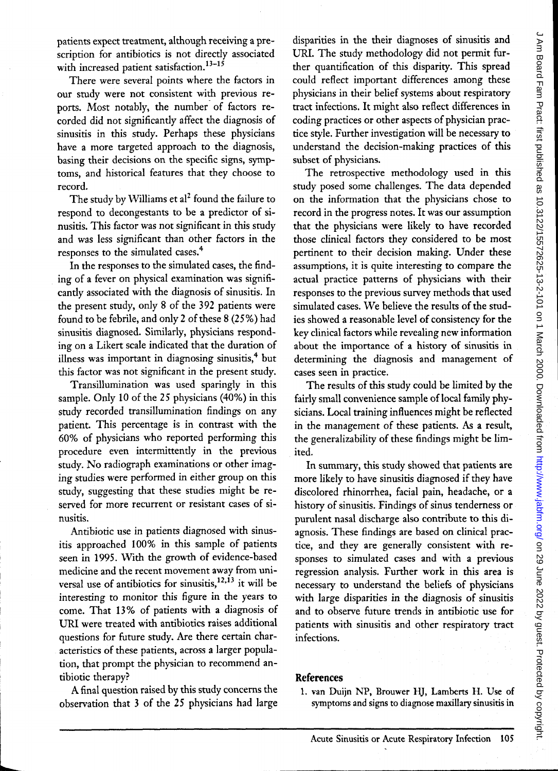patients expect treatment, although receiving a prescription for antibiotics is not directly associated with increased patient satisfaction.<sup>13-15</sup>

There were several points where the factors in our study were not consistent with previous reports. Most notably, the number of factors recorded did not significantly affect the diagnosis of sinusitis in this study. Perhaps these physicians have a more targeted approach to the diagnosis, basing their decisions on the specific signs, symptoms, and historical features that they choose to record.

The study by Williams et al<sup>2</sup> found the failure to respond to decongestants to be a predictor of sinusitis. This factor was not significant in this study and was less significant than other factors in the responses to the simulated cases.<sup>4</sup>

In the responses to the simulated cases, the finding of a fever on physical examination was significantly associated with the diagnosis of sinusitis. In the present study, only 8 of the 392 patients were found to be febrile, and only 2 of these 8 (25%) had sinusitis diagnosed. Similarly, physicians responding on a Likert scale indicated that the duration of illness was important in diagnosing sinusitis, $4$  but this factor was not significant in the present study.

Transillumination was used sparingly in this sample. Only 10 of the 25 physicians (40%) in this study recorded transillumination findings on any patient. This percentage is in contrast with the 60% of physicians who reported performing this procedure even intermittently in the previous study. No radiograph examinations or other imaging studies were performed in either group on this study, suggesting that these studies might be reserved for more recurrent or resistant cases of sinusitis.

Antibiotic use in patients diagnosed with sinusitis approached 100% in this sample of patients seen in 1995. With the growth of evidence-based medicine and the recent movement away from universal use of antibiotics for sinusitis,<sup>12,13</sup> it will be interesting to monitor this figure in the years to come. That 13 % of patients with a diagnosis of URI were treated with antibiotics raises additional questions for future study. Are there certain characteristics of these patients, across a larger population, that prompt the physician to recommend antibiotic therapy?

A final question raised by this study concerns the observation that 3 of the 25 physicians had large

disparities in the their diagnoses of sinusitis and URI. The study methodology did not permit further quantification of this disparity. This spread could reflect important differences among these physicians in their belief systems about respiratory tract infections. It might also reflect differences in coding practices or other aspects of physician practice style. Further investigation will be necessary to understand the decision-making practices of this subset of physicians.

The retrospective methodology used in this study posed some challenges. The data depended on the information that the physicians chose to record in the progress notes. It was our assumption that the physicians were likely to have recorded those clinical factors they considered to be most pertinent to their decision making. Under these assumptions, it is quite interesting to compare the actual practice patterns of physicians with their responses to the previous survey methods that used simulated cases. We believe the results of the studies showed a reasonable level of consistency for the key clinical factors while revealing new information about the importance of a history of sinusitis in determining the diagnosis and management of cases seen in practice.

The results of this study could be limited by the fairly small convenience sample of local family physicians. Local training influences might be reflected in the management of these patients. As a result, the generalizability of these findings might be limited.

In summary, this study showed that patients are more likely to have sinusitis diagnosed if they have discolored rhinorrhea, facial pain, headache, or a history of sinusitis. Findings of sinus tenderness or purulent nasal discharge also contribute to this diagnosis. These findings are based on clinical practice, and they are generally consistent with responses to simulated cases and with a previous regression analysis. Further work in this area is necessary to understand the beliefs of physicians with large disparities in the diagnosis of sinusitis and to observe future trends in antibiotic use for patients with sinusitis and other respiratory tract infections.

## **References**

1. van Duijn NP, Brouwer HJ, Lamberts H. Use of symptoms and signs to diagnose maxillary sinusitis in